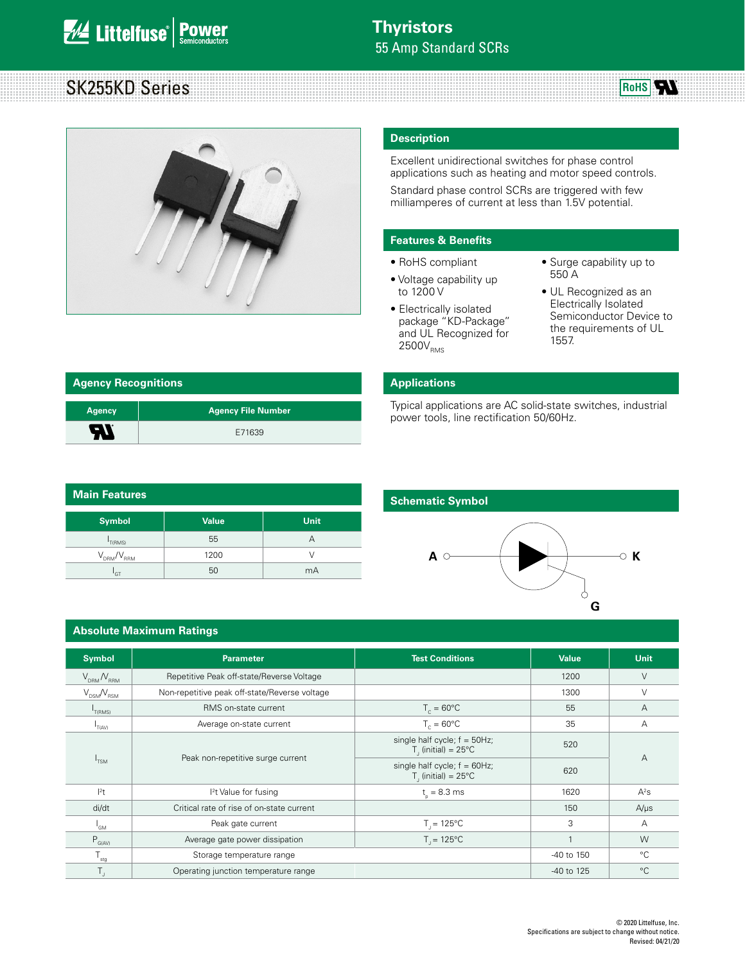# SK255KD Series



#### **Description**

Excellent unidirectional switches for phase control applications such as heating and motor speed controls.

Standard phase control SCRs are triggered with few milliamperes of current at less than 1.5V potential.

#### **Features & Benefits**

- RoHS compliant
- Voltage capability up to 1200 V
- Electrically isolated package "KD-Package" and UL Recognized for  $2500V_{RMS}$
- Surge capability up to 550 A

**RoHS** 

• UL Recognized as an Electrically Isolated Semiconductor Device to the requirements of UL 1557.

| <b>Agency Recognitions</b> |                           |
|----------------------------|---------------------------|
| <b>Agency</b>              | <b>Agency File Number</b> |
| 50                         | E71639                    |

| Main Features               |              |             |  |  |  |
|-----------------------------|--------------|-------------|--|--|--|
| <b>Symbol</b>               | <b>Value</b> | <b>Unit</b> |  |  |  |
| T(RMS)                      | 55           | А           |  |  |  |
| $\rm V_{_{DRM}}/V_{_{RRM}}$ | 1200         |             |  |  |  |
| GT                          | 50           | mA          |  |  |  |

### **Applications**

Typical applications are AC solid-state switches, industrial power tools, line rectification 50/60Hz.

#### **Schematic Symbol**



#### **Absolute Maximum Ratings**

| <b>Symbol</b>                   | <b>Parameter</b>                              | <b>Test Conditions</b>                                               | <b>Value</b> | <b>Unit</b>    |  |
|---------------------------------|-----------------------------------------------|----------------------------------------------------------------------|--------------|----------------|--|
| $V_{\text{DRM}}/V_{\text{RRM}}$ | Repetitive Peak off-state/Reverse Voltage     |                                                                      | 1200         | $\vee$         |  |
| $V_{DSM} / V_{RSM}$             | Non-repetitive peak off-state/Reverse voltage |                                                                      | 1300         | $\vee$         |  |
| T(RMS)                          | RMS on-state current                          | $T_c = 60^{\circ}$ C                                                 | 55           | $\overline{A}$ |  |
| T(AV)                           | Average on-state current                      | $T_c = 60^{\circ}$ C                                                 | 35           | A              |  |
| $I_{TSM}$                       |                                               | single half cycle; $f = 50Hz$ ;<br>$T1$ (initial) = 25°C             | 520          |                |  |
|                                 | Peak non-repetitive surge current             | single half cycle; $f = 60Hz$ ;<br>$T$ , (initial) = 25 $^{\circ}$ C | 620          | $\overline{A}$ |  |
| $ ^{2}t$                        | <sup>2</sup> t Value for fusing               | $t_{0} = 8.3$ ms                                                     | 1620         | $A^2S$         |  |
| di/dt                           | Critical rate of rise of on-state current     |                                                                      | 150          | $A/\mu s$      |  |
| $I_{GM}$                        | Peak gate current                             | $T_{1} = 125^{\circ}C$                                               | 3            | A              |  |
| $P_{G(AV)}$                     | Average gate power dissipation                | $T_{1} = 125^{\circ}C$                                               |              | W              |  |
| l <sub>stg</sub>                | Storage temperature range                     |                                                                      | -40 to 150   | $^{\circ}C$    |  |
| T,                              | Operating junction temperature range          |                                                                      | -40 to 125   | $^{\circ}C$    |  |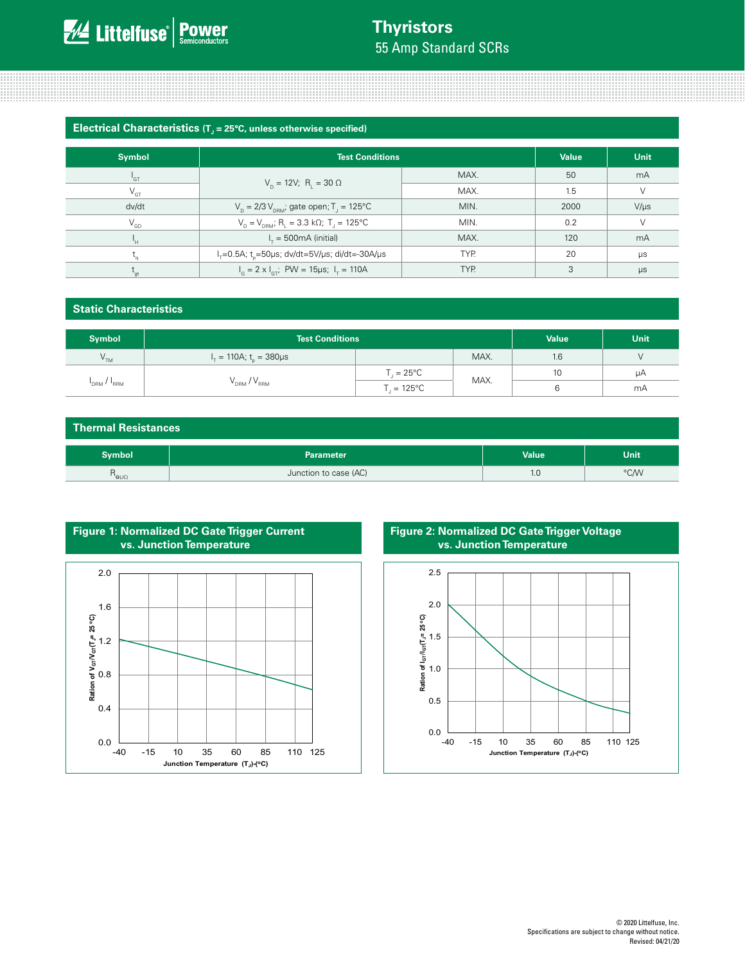## **Thyristors** 55 Amp Standard SCRs

**Electrical Characteristics (T<sub>J</sub> = 25°C, unless otherwise specified)** 

| <b>Symbol</b>   | <b>Test Conditions</b>                                                              | <b>Value</b> | Unit |           |
|-----------------|-------------------------------------------------------------------------------------|--------------|------|-----------|
| $^1$ GT         |                                                                                     | MAX.         | 50   | mA        |
| $V_{\text{GT}}$ | $V_p = 12V$ ; R <sub>1</sub> = 30 $\Omega$                                          | MAX.         | 1.5  | $\vee$    |
| dv/dt           | $V_p = 2/3 V_{pRM}$ ; gate open; T <sub>1</sub> = 125°C                             | MIN.         | 2000 | $V/\mu s$ |
| $V_{GD}$        | $V_p = V_{p, B}$ ; R <sub>1</sub> = 3.3 kΩ; T <sub>1</sub> = 125°C                  | MIN.         | 0.2  | $\vee$    |
| 'н.             | $I_r = 500 \text{mA}$ (initial)                                                     | MAX.         | 120  | mA        |
|                 | TYP.<br>$I_{\tau} = 0.5$ A; t <sub>r</sub> = 50 µs; dv/dt = 5V/µs; di/dt = - 30A/µs |              | 20   | $\mu s$   |
| $\sim$          | $I_c = 2 \times I_{cT}$ ; PW = 15µs; $I_T = 110$ A<br>TYP.                          |              | 3    | $\mu s$   |

### **Static Characteristics**

| Symbol          | <b>Test Conditions</b>                     |                       |      | <b>Value</b> | <b>Unit</b> |
|-----------------|--------------------------------------------|-----------------------|------|--------------|-------------|
| V <sub>TM</sub> | $I_{\tau} = 110A$ ; t <sub>r</sub> = 380µs |                       | MAX. | 1.6          |             |
| DRM / RRM       | $\rm V_{_{DRM}}$ / $\rm V_{_{RRM}}$        | $T_{1} = 25^{\circ}C$ | MAX. | 10           | μA          |
|                 |                                            | $T = 125^{\circ}C$    |      |              | mA          |

### **Thermal Resistances**

| iymbol            | Parameter             | <b>Value</b> | Unit |
|-------------------|-----------------------|--------------|------|
| $'$ $\Theta$ (JC) | Junction to case (AC) | $\cdot$      | °C/W |



**Figure 2: Normalized DC Gate Trigger Voltage vs. Junction Temperature**

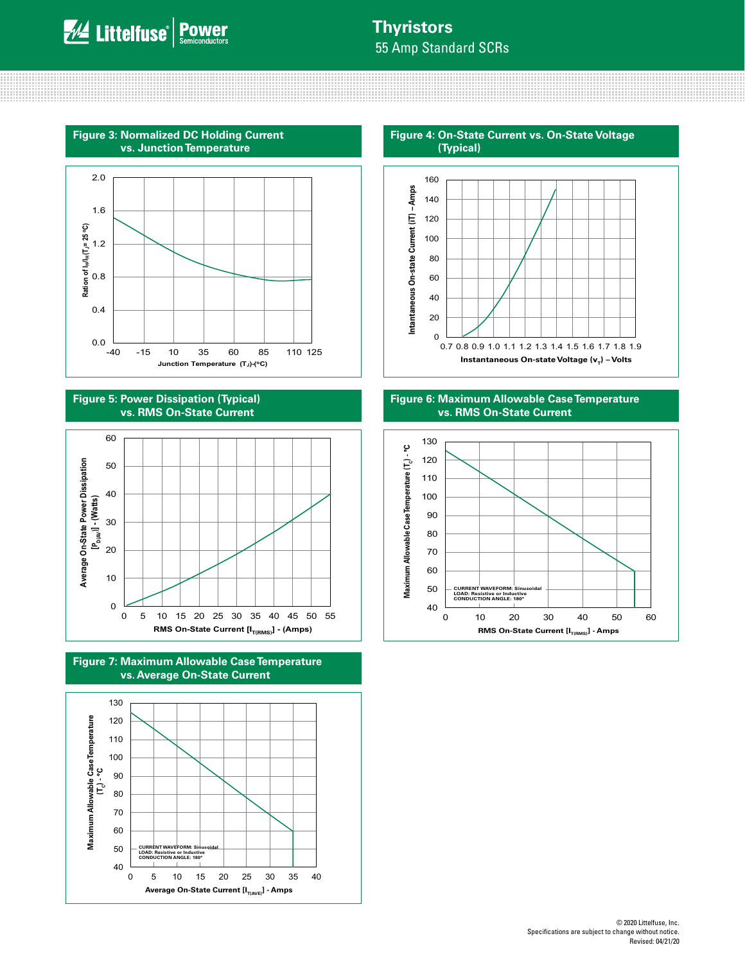<u> 111111111111111111111111111</u>





**Figure 5: Power Dissipation (Typical) vs. RMS On-State Current**







**Figure 4: On-State Current vs. On-State Voltage** 



**Figure 6: Maximum Allowable Case Temperature vs. RMS On-State Current**

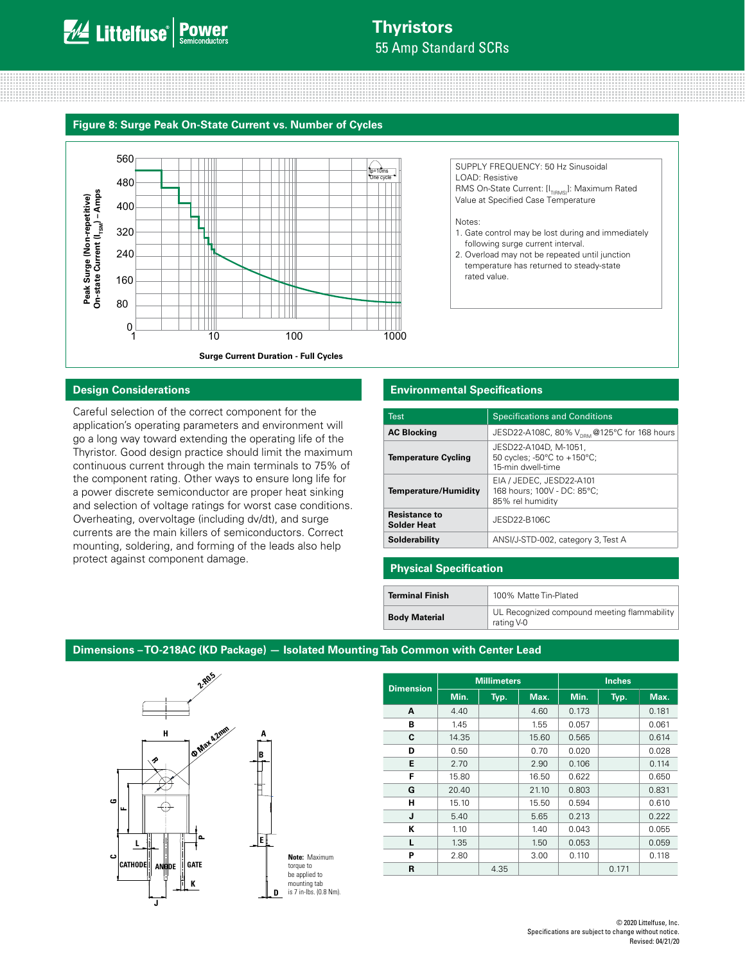## **Thyristors** 55 Amp Standard SCRs

#### **Figure 8: Surge Peak On-State Current vs. Number of Cycles**



SUPPLY FREQUENCY: 50 Hz Sinusoidal LOAD: Resistive RMS On-State Current: [I<sub>T(RMS)</sub>]: Maximum Rated Value at Specified Case Temperature

#### Notes:

- 1. Gate control may be lost during and immediately following surge current interval.
- 2. Overload may not be repeated until junction temperature has returned to steady-state rated value.

#### **Design Considerations**

Careful selection of the correct component for the application's operating parameters and environment will go a long way toward extending the operating life of the Thyristor. Good design practice should limit the maximum continuous current through the main terminals to 75% of the component rating. Other ways to ensure long life for a power discrete semiconductor are proper heat sinking and selection of voltage ratings for worst case conditions. Overheating, overvoltage (including dv/dt), and surge currents are the main killers of semiconductors. Correct mounting, soldering, and forming of the leads also help protect against component damage.

#### **Environmental Specifications**

| <b>Test</b>                                | <b>Specifications and Conditions</b>                                        |
|--------------------------------------------|-----------------------------------------------------------------------------|
| <b>AC Blocking</b>                         | JESD22-A108C, 80% V <sub>DRM</sub> @125°C for 168 hours                     |
| <b>Temperature Cycling</b>                 | JESD22-A104D, M-1051,<br>50 cycles; -50°C to +150°C;<br>15-min dwell-time   |
| <b>Temperature/Humidity</b>                | EIA / JEDEC, JESD22-A101<br>168 hours; 100V - DC: 85°C;<br>85% rel humidity |
| <b>Resistance to</b><br><b>Solder Heat</b> | JESD22-B106C                                                                |
| Solderability                              | ANSI/J-STD-002, category 3, Test A                                          |

#### **Physical Specification**

| <b>Terminal Finish</b> | 100% Matte Tin-Plated                                     |
|------------------------|-----------------------------------------------------------|
| <b>Body Material</b>   | UL Recognized compound meeting flammability<br>rating V-0 |

#### **Dimensions – TO-218AC (KD Package) — Isolated Mounting Tab Common with Center Lead**



|                  | <b>Millimeters</b> |      | <b>Inches</b> |       |       |       |
|------------------|--------------------|------|---------------|-------|-------|-------|
| <b>Dimension</b> | Min.               | Typ. | Max.          | Min.  | Typ.  | Max.  |
| A                | 4.40               |      | 4.60          | 0.173 |       | 0.181 |
| B                | 1.45               |      | 1.55          | 0.057 |       | 0.061 |
| C                | 14.35              |      | 15.60         | 0.565 |       | 0.614 |
| D                | 0.50               |      | 0.70          | 0.020 |       | 0.028 |
| E                | 2.70               |      | 2.90          | 0.106 |       | 0.114 |
| F                | 15.80              |      | 16.50         | 0.622 |       | 0.650 |
| G                | 20.40              |      | 21.10         | 0.803 |       | 0.831 |
| н                | 15.10              |      | 15.50         | 0.594 |       | 0.610 |
| J                | 5.40               |      | 5.65          | 0.213 |       | 0.222 |
| ĸ                | 1.10               |      | 1.40          | 0.043 |       | 0.055 |
| L                | 1.35               |      | 1.50          | 0.053 |       | 0.059 |
| P                | 2.80               |      | 3.00          | 0.110 |       | 0.118 |
| R                |                    | 4.35 |               |       | 0.171 |       |